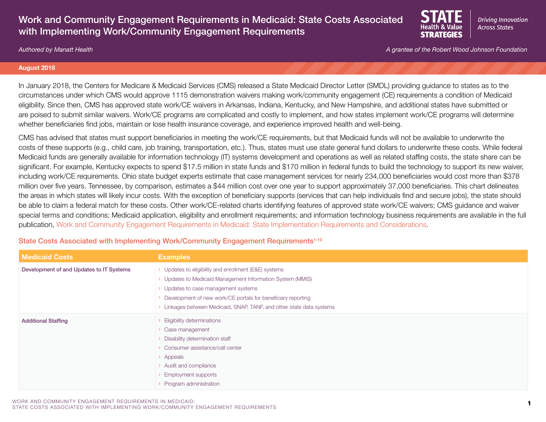# Work and Community Engagement Requirements in Medicaid: State Costs Associated with Implementing Work/Community Engagement Requirements



*Authored by Manatt Health A grantee of the Robert Wood Johnson Foundation*

#### **August 2018**

In January 2018, the Centers for Medicare & Medicaid Services (CMS) released a State Medicaid Director Letter (SMDL) providing guidance to states as to the circumstances under which CMS would approve 1115 demonstration waivers making work/community engagement (CE) requirements a condition of Medicaid eligibility. Since then, CMS has approved state work/CE waivers in Arkansas, Indiana, Kentucky, and New Hampshire, and additional states have submitted or are poised to submit similar waivers. Work/CE programs are complicated and costly to implement, and how states implement work/CE programs will determine whether beneficiaries find jobs, maintain or lose health insurance coverage, and experience improved health and well-being.

CMS has advised that states must support beneficiaries in meeting the work/CE requirements, but that Medicaid funds will not be available to underwrite the costs of these supports (e.g., child care, job training, transportation, etc.). Thus, states must use state general fund dollars to underwrite these costs. While federal Medicaid funds are generally available for information technology (IT) systems development and operations as well as related staffing costs, the state share can be significant. For example, Kentucky expects to spend \$17.5 million in state funds and \$170 million in federal funds to build the technology to support its new waiver, including work/CE requirements. Ohio state budget experts estimate that case management services for nearly 234,000 beneficiaries would cost more than \$378 million over five years. Tennessee, by comparison, estimates a \$44 million cost over one year to support approximately 37,000 beneficiaries. This chart delineates the areas in which states will likely incur costs. With the exception of beneficiary supports (services that can help individuals find and secure jobs), the state should be able to claim a federal match for these costs. Other work/CE-related charts identifying features of approved state work/CE waivers; CMS guidance and waiver special terms and conditions; Medicaid application, eligibility and enrollment requirements; and information technology business requirements are available in the full publication, [Work and Community Engagement Requirements in Medicaid: State Implementation Requirements and Considerations](https://www.shvs.org/resource/work-and-community-engagement-requirements-in-medicaid-state-implementation-requirements-and-considerations/).

| <b>Medicaid Costs</b>                    | <b>Examples</b>                                                       |
|------------------------------------------|-----------------------------------------------------------------------|
| Development of and Updates to IT Systems | > Updates to eligibility and enrollment (E&E) systems                 |
|                                          | > Updates to Medicaid Management Information System (MMIS)            |
|                                          | > Updates to case management systems                                  |
|                                          | Development of new work/CE portals for beneficiary reporting          |
|                                          | > Linkages between Medicaid, SNAP, TANF, and other state data systems |
| <b>Additional Staffing</b>               | Eligibility determinations                                            |
|                                          | > Case management                                                     |
|                                          | > Disability determination staff                                      |
|                                          | > Consumer assistance/call center                                     |
|                                          | > Appeals                                                             |
|                                          | > Audit and compliance                                                |
|                                          | <b>Employment supports</b>                                            |
|                                          | Program administration                                                |

State Costs Associated with Implementing Work/Community Engagement Requirements<sup>1-10</sup>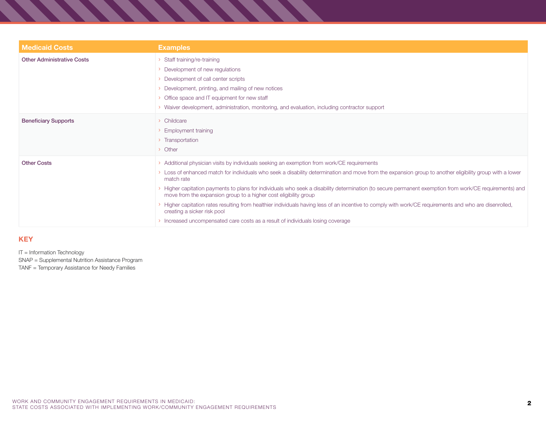| <b>Medicaid Costs</b>             | <b>Examples</b>                                                                                                                                                                                                                                                                                                                                                                                                                                                                                                                                                                                                                                                                                                                                                               |
|-----------------------------------|-------------------------------------------------------------------------------------------------------------------------------------------------------------------------------------------------------------------------------------------------------------------------------------------------------------------------------------------------------------------------------------------------------------------------------------------------------------------------------------------------------------------------------------------------------------------------------------------------------------------------------------------------------------------------------------------------------------------------------------------------------------------------------|
| <b>Other Administrative Costs</b> | Staff training/re-training<br>> Development of new regulations<br>> Development of call center scripts<br>> Development, printing, and mailing of new notices<br>> Office space and IT equipment for new staff<br>> Waiver development, administration, monitoring, and evaluation, including contractor support                                                                                                                                                                                                                                                                                                                                                                                                                                                              |
| <b>Beneficiary Supports</b>       | > Childcare<br>> Employment training<br>> Transportation<br>> Other                                                                                                                                                                                                                                                                                                                                                                                                                                                                                                                                                                                                                                                                                                           |
| <b>Other Costs</b>                | > Additional physician visits by individuals seeking an exemption from work/CE requirements<br>> Loss of enhanced match for individuals who seek a disability determination and move from the expansion group to another eligibility group with a lower<br>match rate<br>Higher capitation payments to plans for individuals who seek a disability determination (to secure permanent exemption from work/CE requirements) and<br>move from the expansion group to a higher cost eligibility group<br>Higher capitation rates resulting from healthier individuals having less of an incentive to comply with work/CE requirements and who are disenrolled,<br>creating a sicker risk pool<br>> Increased uncompensated care costs as a result of individuals losing coverage |

 $\sim$   $\sim$   $\sim$   $\sim$ 

### **KEY**

IT = Information Technology

SNAP = Supplemental Nutrition Assistance Program

TANF = Temporary Assistance for Needy Families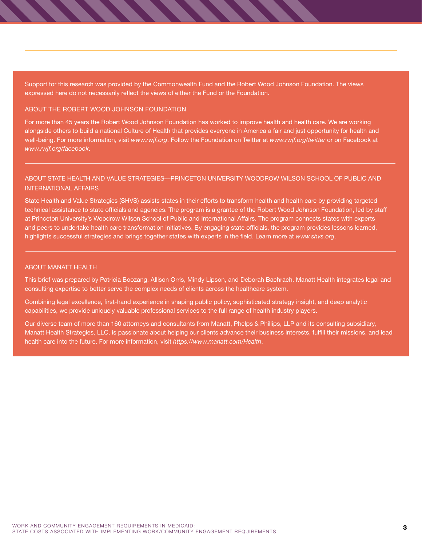Support for this research was provided by the Commonwealth Fund and the Robert Wood Johnson Foundation. The views expressed here do not necessarily reflect the views of either the Fund or the Foundation.

#### ABOUT THE ROBERT WOOD JOHNSON FOUNDATION

For more than 45 years the Robert Wood Johnson Foundation has worked to improve health and health care. We are working alongside others to build a national Culture of Health that provides everyone in America a fair and just opportunity for health and well-being. For more information, visit *[www.rwjf.org](http://www.rwjf.org)*. Follow the Foundation on Twitter at *[www.rwjf.org/twitter](http://www.rwjf.org/twitter)* or on Facebook at *[www.rwjf.org/facebook](http://www.rwjf.org/facebook)*.

## ABOUT STATE HEALTH AND VALUE STRATEGIES—PRINCETON UNIVERSITY WOODROW WILSON SCHOOL OF PUBLIC AND INTERNATIONAL AFFAIRS

State Health and Value Strategies (SHVS) assists states in their efforts to transform health and health care by providing targeted technical assistance to state officials and agencies. The program is a grantee of the Robert Wood Johnson Foundation, led by staff at Princeton University's Woodrow Wilson School of Public and International Affairs. The program connects states with experts and peers to undertake health care transformation initiatives. By engaging state officials, the program provides lessons learned, highlights successful strategies and brings together states with experts in the field. Learn more at *[www.shvs.org](http://www.shvs.org)*.

#### ABOUT MANATT HEALTH

This brief was prepared by Patricia Boozang, Allison Orris, Mindy Lipson, and Deborah Bachrach. Manatt Health integrates legal and consulting expertise to better serve the complex needs of clients across the healthcare system.

Combining legal excellence, first-hand experience in shaping public policy, sophisticated strategy insight, and deep analytic capabilities, we provide uniquely valuable professional services to the full range of health industry players.

Our diverse team of more than 160 attorneys and consultants from Manatt, Phelps & Phillips, LLP and its consulting subsidiary, Manatt Health Strategies, LLC, is passionate about helping our clients advance their business interests, fulfill their missions, and lead health care into the future. For more information, visit *<https://www.manatt.com/Health>*.